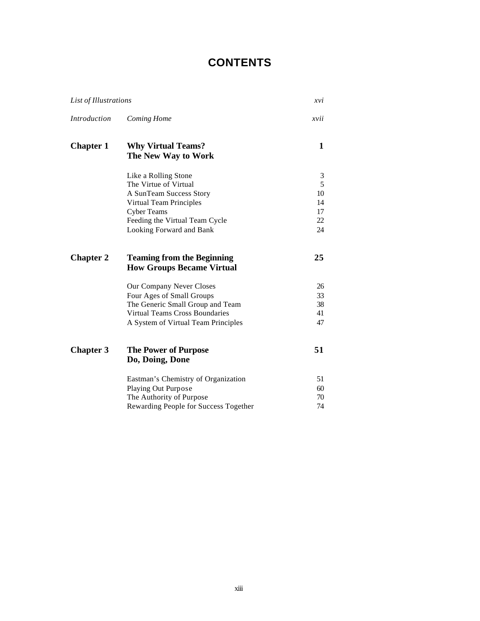## **CONTENTS**

| List of Illustrations |                                                                       | xvi      |
|-----------------------|-----------------------------------------------------------------------|----------|
| <i>Introduction</i>   | Coming Home                                                           | xvii     |
| <b>Chapter 1</b>      | <b>Why Virtual Teams?</b><br>The New Way to Work                      | 1        |
|                       | Like a Rolling Stone                                                  | 3        |
|                       | The Virtue of Virtual                                                 | 5        |
|                       | A SunTeam Success Story                                               | 10       |
|                       | Virtual Team Principles                                               | 14       |
|                       | <b>Cyber Teams</b>                                                    | 17       |
|                       | Feeding the Virtual Team Cycle<br>Looking Forward and Bank            | 22<br>24 |
| <b>Chapter 2</b>      | <b>Teaming from the Beginning</b><br><b>How Groups Became Virtual</b> | 25       |
|                       | Our Company Never Closes                                              | 26       |
|                       | Four Ages of Small Groups                                             | 33       |
|                       | The Generic Small Group and Team                                      | 38       |
|                       | <b>Virtual Teams Cross Boundaries</b>                                 | 41       |
|                       | A System of Virtual Team Principles                                   | 47       |
| <b>Chapter 3</b>      | <b>The Power of Purpose</b><br>Do, Doing, Done                        | 51       |
|                       | Eastman's Chemistry of Organization                                   | 51       |
|                       | <b>Playing Out Purpose</b>                                            | 60       |
|                       | The Authority of Purpose                                              | 70       |
|                       | Rewarding People for Success Together                                 | 74       |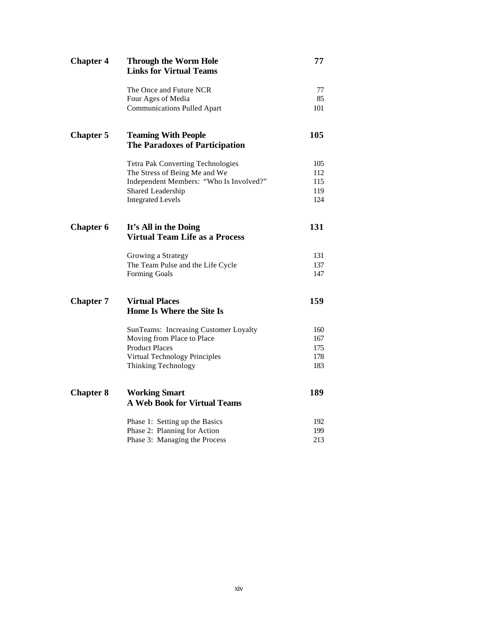| <b>Chapter 4</b> | <b>Through the Worm Hole</b><br><b>Links for Virtual Teams</b>      | 77  |
|------------------|---------------------------------------------------------------------|-----|
|                  | The Once and Future NCR                                             | 77  |
|                  | Four Ages of Media                                                  | 85  |
|                  | <b>Communications Pulled Apart</b>                                  | 101 |
| <b>Chapter 5</b> | <b>Teaming With People</b><br><b>The Paradoxes of Participation</b> | 105 |
|                  | Tetra Pak Converting Technologies                                   | 105 |
|                  | The Stress of Being Me and We                                       | 112 |
|                  | Independent Members: "Who Is Involved?"                             | 115 |
|                  | Shared Leadership                                                   | 119 |
|                  | <b>Integrated Levels</b>                                            | 124 |
| <b>Chapter 6</b> | It's All in the Doing<br><b>Virtual Team Life as a Process</b>      | 131 |
|                  | Growing a Strategy                                                  | 131 |
|                  | The Team Pulse and the Life Cycle                                   | 137 |
|                  | Forming Goals                                                       | 147 |
| <b>Chapter 7</b> | <b>Virtual Places</b><br>Home Is Where the Site Is                  | 159 |
|                  | SunTeams: Increasing Customer Loyalty                               | 160 |
|                  | Moving from Place to Place                                          | 167 |
|                  | <b>Product Places</b>                                               | 175 |
|                  | Virtual Technology Principles                                       | 178 |
|                  | Thinking Technology                                                 | 183 |
| <b>Chapter 8</b> | <b>Working Smart</b><br><b>A Web Book for Virtual Teams</b>         | 189 |
|                  |                                                                     |     |
|                  | Phase 1: Setting up the Basics                                      | 192 |
|                  | Phase 2: Planning for Action                                        | 199 |
|                  | Phase 3: Managing the Process                                       | 213 |